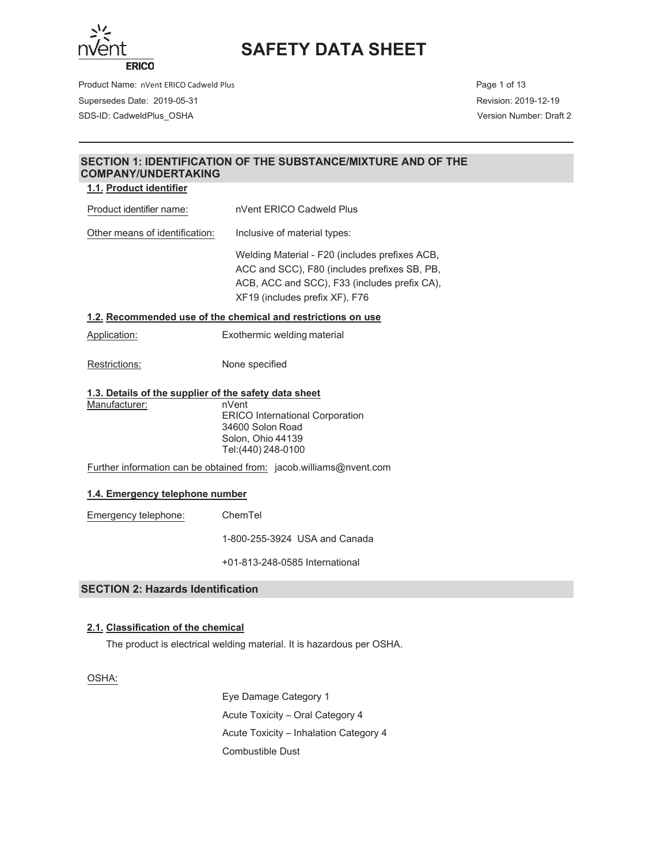

Product Name: nVent ERICO Cadweld Plus **Page 1 of 13** and 2008 and 2009 and 2009 and 2009 and 2009 and 2009 and 2009 and 2009 and 2009 and 2009 and 2009 and 2009 and 2009 and 2009 and 2009 and 2009 and 2009 and 2009 and 20 Supersedes Date: 2019-05-31 Revision: 2019-12-19 SDS-ID: CadweldPlus\_OSHA Version Number: Draft 2

## **SECTION 1: IDENTIFICATION OF THE SUBSTANCE/MIXTURE AND OF THE COMPANY/UNDERTAKING**

### **1.1. Product identifier**

Product identifier name: nVent ERICO Cadweld Plus Other means of identification: Inclusive of material types: Welding Material - F20 (includes prefixes ACB, ACC and SCC), F80 (includes prefixes SB, PB, ACB, ACC and SCC), F33 (includes prefix CA), XF19 (includes prefix XF), F76 **1.2. Recommended use of the chemical and restrictions on use**  Application: Exothermic welding material Restrictions: None specified **1.3. Details of the supplier of the safety data sheet**  Manufacturer: nVent ERICO International Corporation

34600 Solon Road Solon, Ohio 44139 Tel:(440) 248-0100

Further information can be obtained from: jacob.williams@nvent.com

#### **1.4. Emergency telephone number**

Emergency telephone: ChemTel

800-255-3924 USA and Canada

813-248-0585 International

## **SECTION 2: Hazards Identification**

## **2.1. Classification of the chemical**

The product is electrical welding material. It is hazardous per OSHA.

OSHA:

Eye Damage Category 1 Acute Toxicity - Oral Category 4 Acute Toxicity - Inhalation Category 4 Combustible Dust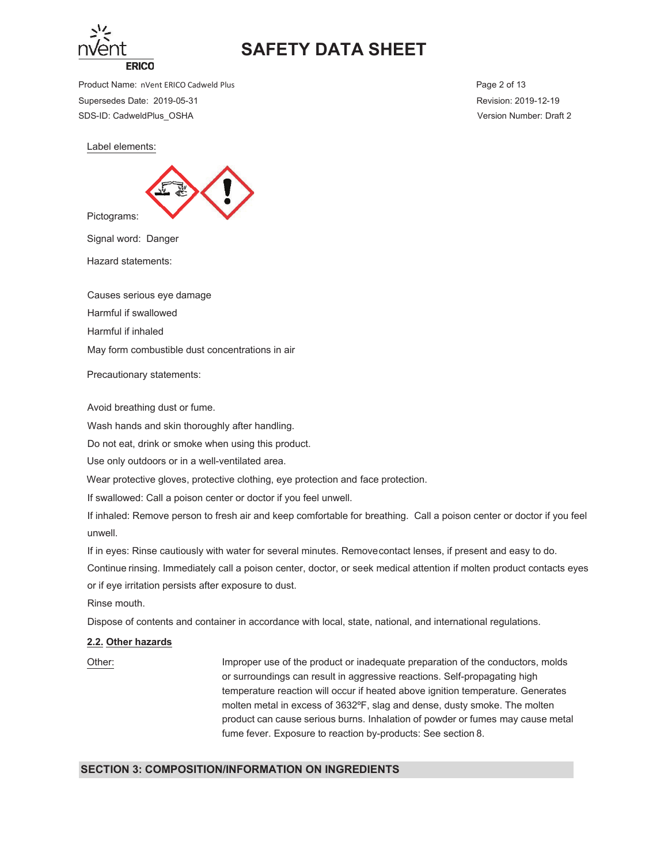

Product Name: nVent ERICO Cadweld Plus **Page 2 of 13** and 2001 13 and 2008 12 and 2008 12 and 2008 12 and 2008 12 and 2008 12 and 2008 12 and 2008 12 and 2008 12 and 2008 12 and 2008 12 and 2008 12 and 2008 12 and 2008 12 Supersedes Date: 2019-05-31 Revision: 2019-12-19 SDS-ID: CadweldPlus\_OSHA Version Number: Draft 2

Label elements:



Signal word: Danger

Hazard statements:

Causes serious eye damage

Harmful if swallowed

Harmful if inhaled

May form combustible dust concentrations in air

Precautionary statements:

Avoid breathing dust or fume.

Wash hands and skin thoroughly after handling.

Do not eat, drink or smoke when using this product.

Use only outdoors or in a well-ventilated area.

Wear protective gloves, protective clothing, eye protection and face protection.

If swallowed: Call a poison center or doctor if you feel unwell.

If inhaled: Remove person to fresh air and keep comfortable for breathing. Call a poison center or doctor if you feel unwell.

If in eyes: Rinse cautiously with water for several minutes. Remove contact lenses, if present and easy to do. Continue rinsing. Immediately call a poison center, doctor, or seek medical attention if molten product contacts eyes or if eye irritation persists after exposure to dust.

Rinse mouth.

Dispose of contents and container in accordance with local, state, national, and international regulations.

#### **2.2. Other hazards**

20 Other: https://www.filmproper.use.of.the.product.or.inadequate.preparation.org/the.conductors.molds or surroundings can result in aggressive reactions. Self-propagating high temperature reaction will occur if heated above ignition temperature. Generates molten metal in excess of 3632°F, slag and dense, dusty smoke. The molten product can cause serious burns. Inhalation of powder or fumes may cause metal fume fever. Exposure to reaction by-products: See section 8.

#### **SECTION 3: COMPOSITION/INFORMATION ON INGREDIENTS**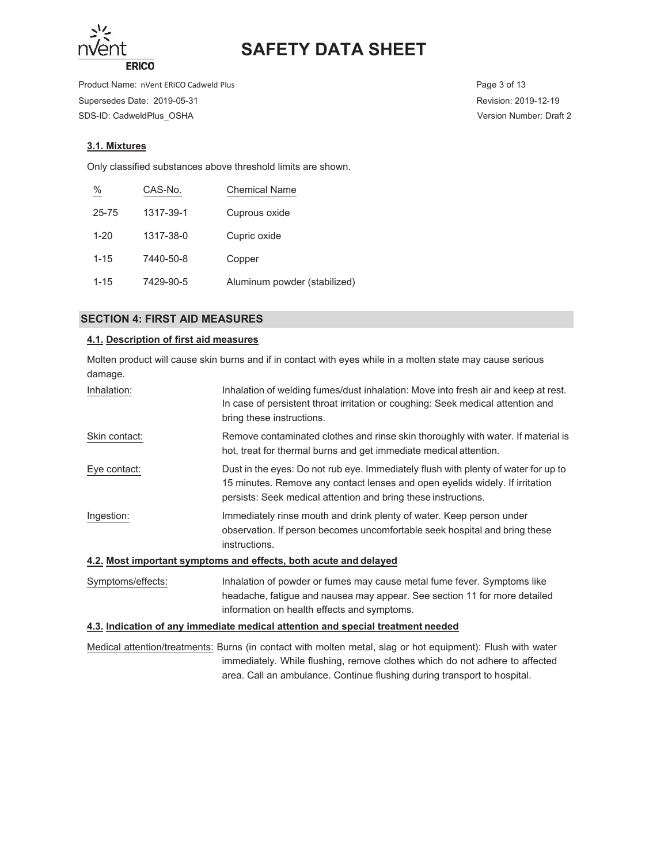

Product Name: nVent ERICO Cadweld Plus **Page 3 of 13** Page 3 of 13 Supersedes Date: 2019-05-31 Revision: 2019-12-19 SDS-ID: CadweldPlus\_OSHA Version Number: Draft 2

# **3.1. Mixtures**

Only classified substances above threshold limits are shown.

| $\frac{\%}{\%}$ | CAS-No.   | <b>Chemical Name</b>         |
|-----------------|-----------|------------------------------|
| 25-75           | 1317-39-1 | Cuprous oxide                |
| $1 - 20$        | 1317-38-0 | Cupric oxide                 |
| $1 - 15$        | 7440-50-8 | Copper                       |
| $1 - 15$        | 7429-90-5 | Aluminum powder (stabilized) |

## **SECTION 4: FIRST AID MEASURES**

# **4.1. Description of first aid measures**

Molten product will cause skin burns and if in contact with eyes while in a molten state may cause serious damage.

| Inhalation of welding fumes/dust inhalation: Move into fresh air and keep at rest.<br>In case of persistent throat irritation or coughing: Seek medical attention and<br>bring these instructions.                                   |
|--------------------------------------------------------------------------------------------------------------------------------------------------------------------------------------------------------------------------------------|
| Remove contaminated clothes and rinse skin thoroughly with water. If material is<br>hot, treat for thermal burns and get immediate medical attention.                                                                                |
| Dust in the eyes: Do not rub eye. Immediately flush with plenty of water for up to<br>15 minutes. Remove any contact lenses and open eyelids widely. If irritation<br>persists: Seek medical attention and bring these instructions. |
| Immediately rinse mouth and drink plenty of water. Keep person under<br>observation. If person becomes uncomfortable seek hospital and bring these<br>instructions.                                                                  |
| 4.2. Most important symptoms and effects, both acute and delayed                                                                                                                                                                     |
| Inhalation of powder or fumes may cause metal fume fever. Symptoms like<br>headache, fatigue and nausea may appear. See section 11 for more detailed<br>information on health effects and symptoms.                                  |
|                                                                                                                                                                                                                                      |

#### **4.3. Indication of any immediate medical attention and special treatment needed**

Medical attention/treatments: Burns (in contact with molten metal, slag or hot equipment): Flush with water immediately. While flushing, remove clothes which do not adhere to affected area. Call an ambulance. Continue flushing during transport to hospital.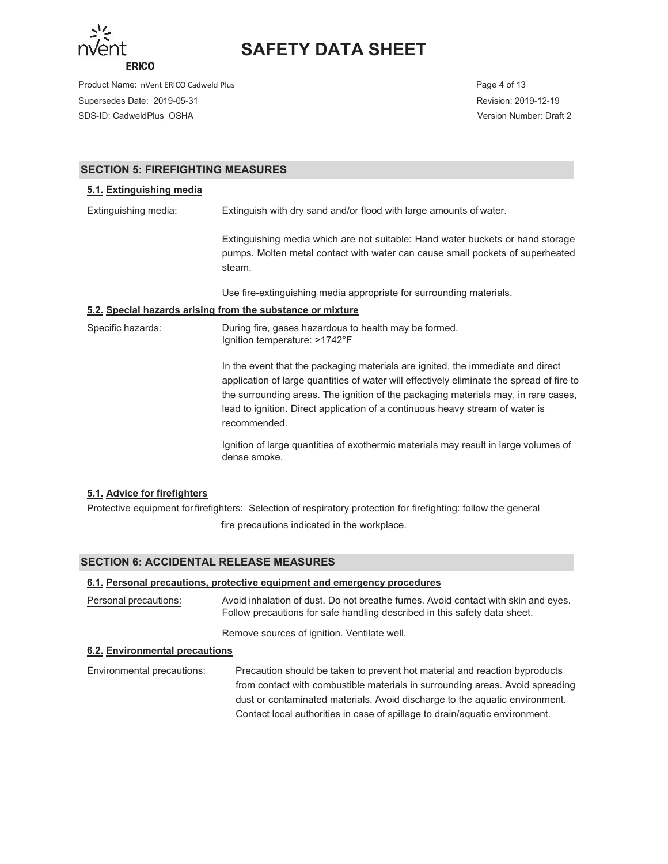

Product Name: nVent ERICO Cadweld Plus **Page 4 of 13** Page 4 of 13 Supersedes Date: 2019-05-31 Revision: 2019-12-19 SDS-ID: CadweldPlus\_OSHA Version Number: Draft 2

## **SECTION 5: FIREFIGHTING MEASURES**

### **5.1. Extinguishing media**

Extinguishing media: Extinguish with dry sand and/or flood with large amounts of water.

Extinguishing media which are not suitable: Hand water buckets or hand storage pumps. Molten metal contact with water can cause small pockets of superheated steam.

Use fire-extinguishing media appropriate for surrounding materials.

#### **5.2. Special hazards arising from the substance or mixture**

Specific hazards: During fire, gases hazardous to health may be formed. Ignition temperature: >1742°F

> In the event that the packaging materials are ignited, the immediate and direct application of large quantities of water will effectively eliminate the spread of fire to the surrounding areas. The ignition of the packaging materials may, in rare cases, lead to ignition. Direct application of a continuous heavy stream of water is recommended.

Ignition of large quantities of exothermic materials may result in large volumes of dense smoke.

## **5.1. Advice for firefighters**

Protective equipment for firefighters: Selection of respiratory protection for firefighting: follow the general fire precautions indicated in the workplace.

## **SECTION 6: ACCIDENTAL RELEASE MEASURES**

#### **6.1. Personal precautions, protective equipment and emergency procedures**

Personal precautions: Avoid inhalation of dust. Do not breathe fumes. Avoid contact with skin and eyes. Follow precautions for safe handling described in this safety data sheet.

Remove sources of ignition. Ventilate well.

#### **6.2. Environmental precautions**

Environmental precautions: Precaution should be taken to prevent hot material and reaction byproducts from contact with combustible materials in surrounding areas. Avoid spreading dust or contaminated materials. Avoid discharge to the aquatic environment. Contact local authorities in case of spillage to drain/aquatic environment.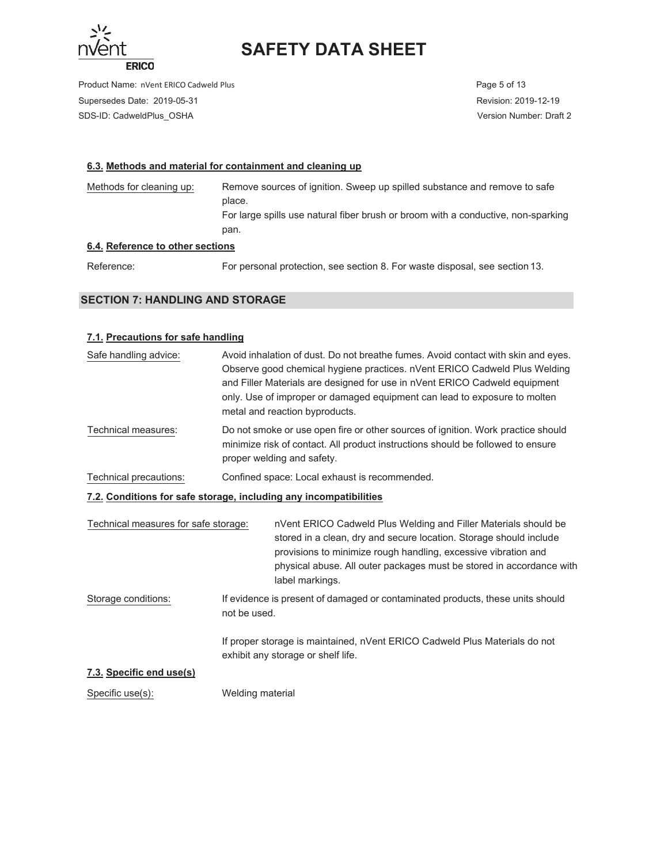

Product Name: nVent ERICO Cadweld Plus **Page 5 of 13** Page 5 of 13 Supersedes Date: 2019-05-31 Revision: 2019-12-19 SDS-ID: CadweldPlus\_OSHA Version Number: Draft 2

### **6.3. Methods and material for containment and cleaning up**

Methods for cleaning up: Remove sources of ignition. Sweep up spilled substance and remove to safe place. For large spills use natural fiber brush or broom with a conductive, non-sparking pan.

# **6.4. Reference to other sections**

Reference: For personal protection, see section 8. For waste disposal, see section 13.

# **SECTION 7: HANDLING AND STORAGE**

## **7.1. Precautions for safe handling**

| Safe handling advice:                                             |              | Avoid inhalation of dust. Do not breathe fumes. Avoid contact with skin and eyes.<br>Observe good chemical hygiene practices. nVent ERICO Cadweld Plus Welding<br>and Filler Materials are designed for use in nVent ERICO Cadweld equipment<br>only. Use of improper or damaged equipment can lead to exposure to molten<br>metal and reaction byproducts. |
|-------------------------------------------------------------------|--------------|-------------------------------------------------------------------------------------------------------------------------------------------------------------------------------------------------------------------------------------------------------------------------------------------------------------------------------------------------------------|
| Technical measures:                                               |              | Do not smoke or use open fire or other sources of ignition. Work practice should<br>minimize risk of contact. All product instructions should be followed to ensure<br>proper welding and safety.                                                                                                                                                           |
| Technical precautions:                                            |              | Confined space: Local exhaust is recommended.                                                                                                                                                                                                                                                                                                               |
| 7.2. Conditions for safe storage, including any incompatibilities |              |                                                                                                                                                                                                                                                                                                                                                             |
| Technical measures for safe storage:                              |              | nVent ERICO Cadweld Plus Welding and Filler Materials should be<br>stored in a clean, dry and secure location. Storage should include<br>provisions to minimize rough handling, excessive vibration and<br>physical abuse. All outer packages must be stored in accordance with<br>label markings.                                                          |
| Storage conditions:                                               | not be used. | If evidence is present of damaged or contaminated products, these units should                                                                                                                                                                                                                                                                              |
|                                                                   |              | If proper storage is maintained, nVent ERICO Cadweld Plus Materials do not<br>exhibit any storage or shelf life.                                                                                                                                                                                                                                            |
| 7.3. Specific end use(s)                                          |              |                                                                                                                                                                                                                                                                                                                                                             |

Specific use(s): Welding material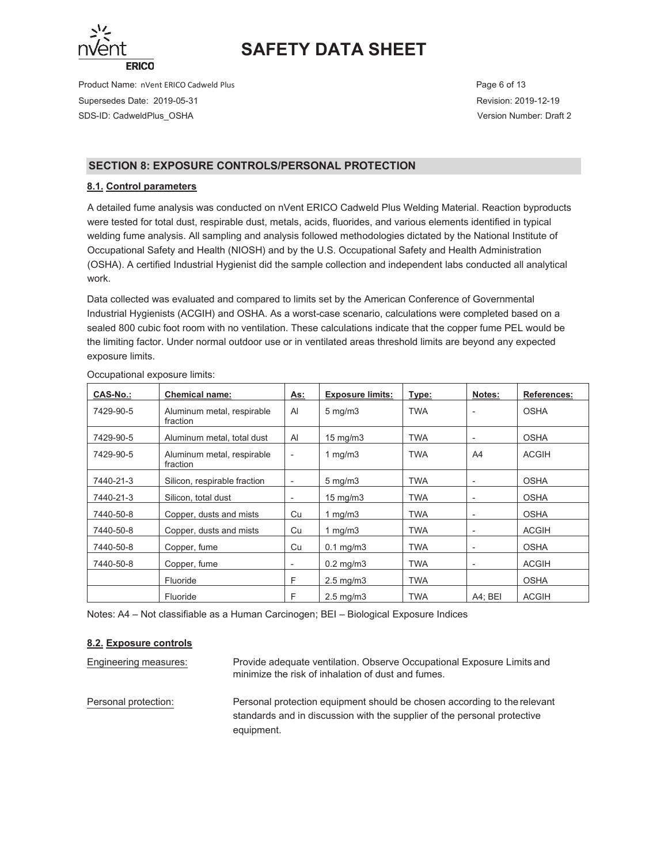

Product Name: nVent ERICO Cadweld Plus **Page 6 of 13** and 2008 and 2009 and 2009 and 2009 and 2009 and 2009 and 2009 and 2009 and 2009 and 2009 and 2009 and 2009 and 2009 and 2009 and 2009 and 2009 and 2009 and 2009 and 20 Supersedes Date: 2019-05-31 Revision: 2019-12-19 SDS-ID: CadweldPlus\_OSHA Version Number: Draft 2

# **SECTION 8: EXPOSURE CONTROLS/PERSONAL PROTECTION**

## **8.1. Control parameters**

A detailed fume analysis was conducted on nVent ERICO Cadweld Plus Welding Material. Reaction byproducts were tested for total dust, respirable dust, metals, acids, fluorides, and various elements identified in typical welding fume analysis. All sampling and analysis followed methodologies dictated by the National Institute of Occupational Safety and Health (NIOSH) and by the U.S. Occupational Safety and Health Administration (OSHA). A certified Industrial Hygienist did the sample collection and independent labs conducted all analytical work.

Data collected was evaluated and compared to limits set by the American Conference of Governmental Industrial Hygienists (ACGIH) and OSHA. As a worst-case scenario, calculations were completed based on a sealed 800 cubic foot room with no ventilation. These calculations indicate that the copper fume PEL would be the limiting factor. Under normal outdoor use or in ventilated areas threshold limits are beyond any expected exposure limits.

| <b>CAS-No.:</b> | <b>Chemical name:</b>                  | As:                      | <b>Exposure limits:</b> | Type:      | Notes:                   | References:  |
|-----------------|----------------------------------------|--------------------------|-------------------------|------------|--------------------------|--------------|
| 7429-90-5       | Aluminum metal, respirable<br>fraction | AI                       | $5 \text{ mg/m}$        | <b>TWA</b> |                          | <b>OSHA</b>  |
| 7429-90-5       | Aluminum metal, total dust             | Al                       | $15 \text{ mg/m}$       | <b>TWA</b> |                          | <b>OSHA</b>  |
| 7429-90-5       | Aluminum metal, respirable<br>fraction | $\overline{\phantom{a}}$ | 1 mg/m $3$              | <b>TWA</b> | A4                       | <b>ACGIH</b> |
| 7440-21-3       | Silicon, respirable fraction           | $\overline{\phantom{a}}$ | $5 \text{ mg/m}$        | <b>TWA</b> |                          | <b>OSHA</b>  |
| 7440-21-3       | Silicon, total dust                    | $\overline{\phantom{a}}$ | $15 \text{ mg/m}$       | <b>TWA</b> | $\overline{\phantom{a}}$ | <b>OSHA</b>  |
| 7440-50-8       | Copper, dusts and mists                | Cu                       | 1 mg/m $3$              | <b>TWA</b> |                          | <b>OSHA</b>  |
| 7440-50-8       | Copper, dusts and mists                | Cu                       | 1 mg/m $3$              | <b>TWA</b> |                          | <b>ACGIH</b> |
| 7440-50-8       | Copper, fume                           | Cu                       | $0.1$ mg/m $3$          | <b>TWA</b> | $\overline{\phantom{a}}$ | <b>OSHA</b>  |
| 7440-50-8       | Copper, fume                           | $\overline{\phantom{a}}$ | $0.2 \text{ mg/m}$ 3    | <b>TWA</b> | ٠                        | <b>ACGIH</b> |
|                 | Fluoride                               | F                        | $2.5 \text{ mg/m}$      | <b>TWA</b> |                          | <b>OSHA</b>  |
|                 | Fluoride                               | F                        | $2.5 \text{ mg/m}$      | <b>TWA</b> | A4; BEI                  | <b>ACGIH</b> |

Occupational exposure limits:

Notes: A4 – Not classifiable as a Human Carcinogen; BEI – Biological Exposure Indices

## **8.2. Exposure controls**

Engineering measures: The Provide adequate ventilation. Observe Occupational Exposure Limits and minimize the risk of inhalation of dust and fumes. Personal protection: Personal protection equipment should be chosen according to the relevant standards and in discussion with the supplier of the personal protective equipment.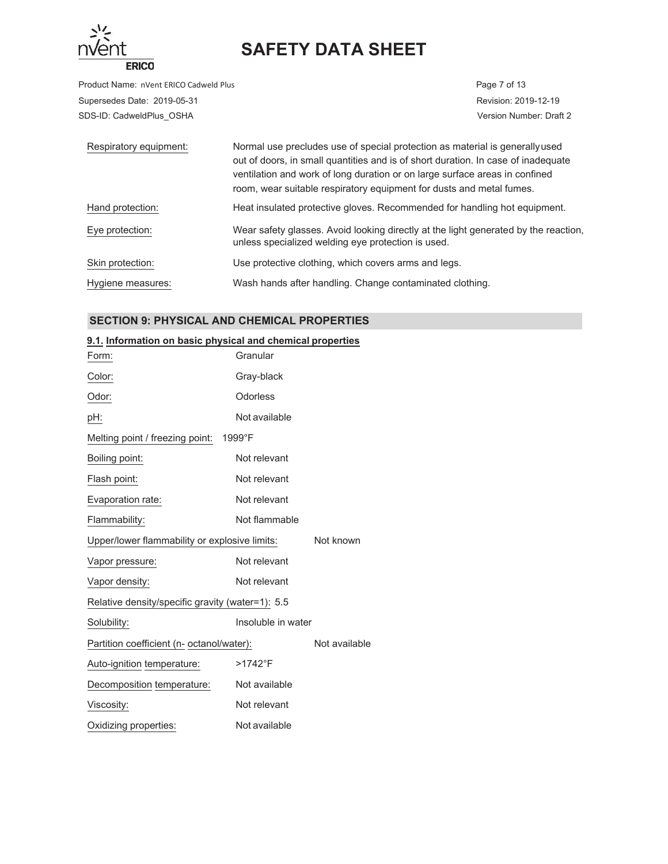

Product Name: nVent ERICO Cadweld Plus **Page 7** of 13 Supersedes Date: 2019-05-31 Revision: 2019-12-19 SDS-ID: CadweldPlus\_OSHA Version Number: Draft 2

| Respiratory equipment: | Normal use precludes use of special protection as material is generally used<br>out of doors, in small quantities and is of short duration. In case of inadequate<br>ventilation and work of long duration or on large surface areas in confined<br>room, wear suitable respiratory equipment for dusts and metal fumes. |
|------------------------|--------------------------------------------------------------------------------------------------------------------------------------------------------------------------------------------------------------------------------------------------------------------------------------------------------------------------|
| Hand protection:       | Heat insulated protective gloves. Recommended for handling hot equipment.                                                                                                                                                                                                                                                |
| Eye protection:        | Wear safety glasses. Avoid looking directly at the light generated by the reaction,<br>unless specialized welding eye protection is used.                                                                                                                                                                                |
| Skin protection:       | Use protective clothing, which covers arms and legs.                                                                                                                                                                                                                                                                     |
| Hygiene measures:      | Wash hands after handling. Change contaminated clothing.                                                                                                                                                                                                                                                                 |

# **SECTION 9: PHYSICAL AND CHEMICAL PROPERTIES**

### **9.1. Information on basic physical and chemical properties**

| Form:                                            | Granular           |               |
|--------------------------------------------------|--------------------|---------------|
| Color:                                           | Gray-black         |               |
| Odor:                                            | Odorless           |               |
| pH:                                              | Not available      |               |
| Melting point / freezing point:                  | 1999°F             |               |
| Boiling point:                                   | Not relevant       |               |
| Flash point:                                     | Not relevant       |               |
| Evaporation rate:                                | Not relevant       |               |
| Flammability:                                    | Not flammable      |               |
| Upper/lower flammability or explosive limits:    |                    | Not known     |
| Vapor pressure:                                  | Not relevant       |               |
| Vapor density:                                   | Not relevant       |               |
| Relative density/specific gravity (water=1): 5.5 |                    |               |
| Solubility:                                      | Insoluble in water |               |
| Partition coefficient (n- octanol/water):        |                    | Not available |
| Auto-ignition temperature:                       | $>1742$ °F         |               |
| Decomposition temperature:                       | Not available      |               |
| Viscosity:                                       | Not relevant       |               |
| Oxidizing properties:                            | Not available      |               |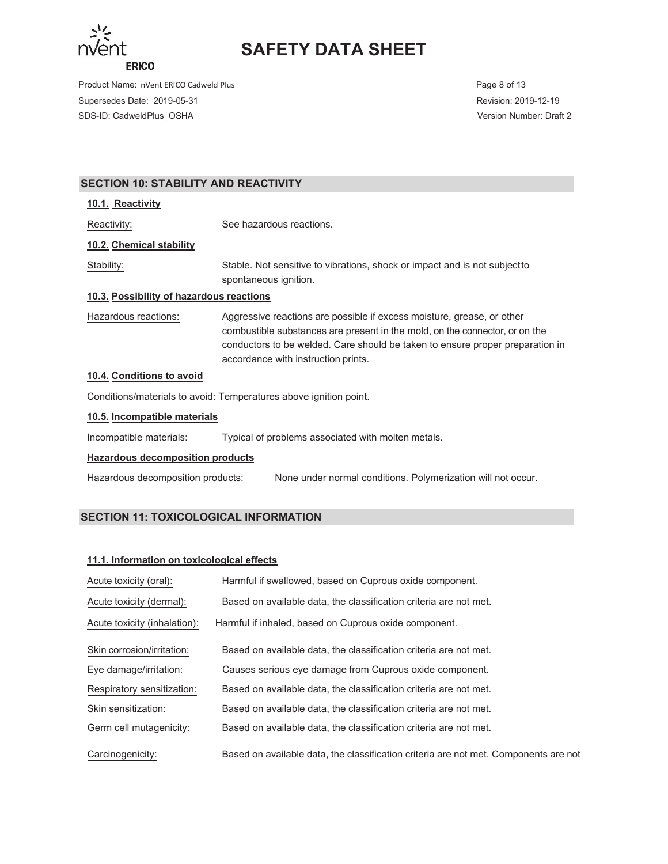

Product Name: nVent ERICO Cadweld Plus **Page 8 of 13** and 2008 and 2009 and 2009 and 2009 and 2009 and 2009 and 2009 and 2009 and 2009 and 2009 and 2009 and 2009 and 2009 and 2009 and 2009 and 2009 and 2009 and 2009 and 20 Supersedes Date: 2019-05-31 Revision: 2019-12-19 SDS-ID: CadweldPlus\_OSHA Version Number: Draft 2

# **SECTION 10: STABILITY AND REACTIVITY**

#### **10.1. Reactivity**

Reactivity: See hazardous reactions.

### **10.2. Chemical stability**

Stability: Stable. Not sensitive to vibrations, shock or impact and is not subject to spontaneous ignition.

#### **10.3. Possibility of hazardous reactions**

Hazardous reactions: Aggressive reactions are possible if excess moisture, grease, or other combustible substances are present in the mold, on the connector, or on the conductors to be welded. Care should be taken to ensure proper preparation in accordance with instruction prints.

## **10.4. Conditions to avoid**

Conditions/materials to avoid: Temperatures above ignition point.

#### **10.5. Incompatible materials**

Incompatible materials: Typical of problems associated with molten metals.

#### **Hazardous decomposition products**

Hazardous decomposition products: 1800 None under normal conditions. Polymerization will not occur.

# **SECTION 11: TOXICOLOGICAL INFORMATION**

#### **11.1. Information on toxicological effects**

| Acute toxicity (oral):       | Harmful if swallowed, based on Cuprous oxide component.                              |
|------------------------------|--------------------------------------------------------------------------------------|
| Acute toxicity (dermal):     | Based on available data, the classification criteria are not met.                    |
| Acute toxicity (inhalation): | Harmful if inhaled, based on Cuprous oxide component.                                |
| Skin corrosion/irritation:   | Based on available data, the classification criteria are not met.                    |
| Eye damage/irritation:       | Causes serious eye damage from Cuprous oxide component.                              |
| Respiratory sensitization:   | Based on available data, the classification criteria are not met.                    |
| Skin sensitization:          | Based on available data, the classification criteria are not met.                    |
| Germ cell mutagenicity:      | Based on available data, the classification criteria are not met.                    |
| Carcinogenicity:             | Based on available data, the classification criteria are not met. Components are not |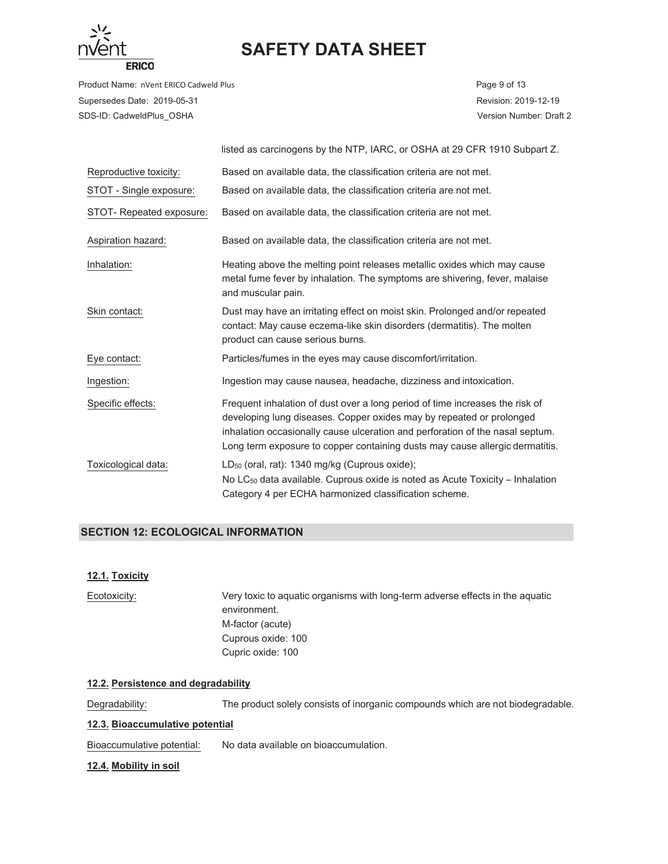

Product Name: nVent ERICO Cadweld Plus **Page 9 of 13** Page 9 of 13 Supersedes Date: 2019-05-31 Revision: 2019-12-19 SDS-ID: CadweldPlus\_OSHA Version Number: Draft 2

|                          | listed as carcinogens by the NTP, IARC, or OSHA at 29 CFR 1910 Subpart Z.                                                                                                                                                                                                                                             |
|--------------------------|-----------------------------------------------------------------------------------------------------------------------------------------------------------------------------------------------------------------------------------------------------------------------------------------------------------------------|
| Reproductive toxicity:   | Based on available data, the classification criteria are not met.                                                                                                                                                                                                                                                     |
| STOT - Single exposure:  | Based on available data, the classification criteria are not met.                                                                                                                                                                                                                                                     |
| STOT- Repeated exposure: | Based on available data, the classification criteria are not met.                                                                                                                                                                                                                                                     |
| Aspiration hazard:       | Based on available data, the classification criteria are not met.                                                                                                                                                                                                                                                     |
| Inhalation:              | Heating above the melting point releases metallic oxides which may cause<br>metal fume fever by inhalation. The symptoms are shivering, fever, malaise<br>and muscular pain.                                                                                                                                          |
| Skin contact:            | Dust may have an irritating effect on moist skin. Prolonged and/or repeated<br>contact: May cause eczema-like skin disorders (dermatitis). The molten<br>product can cause serious burns.                                                                                                                             |
| Eye contact:             | Particles/fumes in the eyes may cause discomfort/irritation.                                                                                                                                                                                                                                                          |
| Ingestion:               | Ingestion may cause nausea, headache, dizziness and intoxication.                                                                                                                                                                                                                                                     |
| Specific effects:        | Frequent inhalation of dust over a long period of time increases the risk of<br>developing lung diseases. Copper oxides may by repeated or prolonged<br>inhalation occasionally cause ulceration and perforation of the nasal septum.<br>Long term exposure to copper containing dusts may cause allergic dermatitis. |
| Toxicological data:      | $LD_{50}$ (oral, rat): 1340 mg/kg (Cuprous oxide);<br>No LC <sub>50</sub> data available. Cuprous oxide is noted as Acute Toxicity – Inhalation<br>Category 4 per ECHA harmonized classification scheme.                                                                                                              |

## **SECTION 12: ECOLOGICAL INFORMATION**

## **12.1. Toxicity**

| Ecotoxicity: | Very toxic to aquatic organisms with long-term adverse effects in the aquatic |
|--------------|-------------------------------------------------------------------------------|
|              | environment.                                                                  |
|              | M-factor (acute)                                                              |
|              | Cuprous oxide: 100                                                            |
|              | Cupric oxide: 100                                                             |
|              |                                                                               |

## **12.2. Persistence and degradability**

Degradability: The product solely consists of inorganic compounds which are not biodegradable.

## **12.3. Bioaccumulative potential**

Bioaccumulative potential: No data available on bioaccumulation.

#### **12.4. Mobility in soil**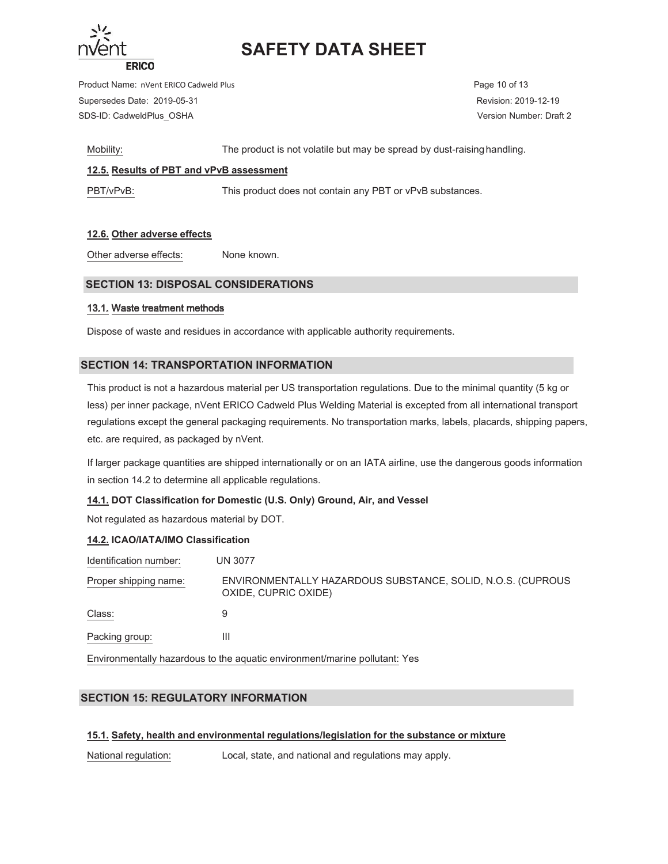

Product Name: nVent ERICO Cadweld Plus **Page 10 of 13** and 20 of 13 and 20 of 13 and 20 of 13 Supersedes Date: 2019-05-31 Revision: 2019-12-19 SDS-ID: CadweldPlus\_OSHA Version Number: Draft 2

Mobility: The product is not volatile but may be spread by dust-raising handling.

## **12.5. Results of PBT and vPvB assessment**

PBT/vPvB: This product does not contain any PBT or vPvB substances.

## **12.6. Other adverse effects**

Other adverse effects: None known.

# **SECTION 13: DISPOSAL CONSIDERATIONS**

#### 13.1. Waste treatment methods

Dispose of waste and residues in accordance with applicable authority requirements.

## **SECTION 14: TRANSPORTATION INFORMATION**

This product is not a hazardous material per US transportation regulations. Due to the minimal quantity (5 kg or less) per inner package, nVent ERICO Cadweld Plus Welding Material is excepted from all international transport regulations except the general packaging requirements. No transportation marks, labels, placards, shipping papers, etc. are required, as packaged by nVent.

If larger package quantities are shipped internationally or on an IATA airline, use the dangerous goods information in section 14.2 to determine all applicable regulations.

## **14.1. DOT Classification for Domestic (U.S. Only) Ground, Air, and Vessel**

Not regulated as hazardous material by DOT.

## **14.2. ICAO/IATA/IMO Classification**

| Identification number: | UN 3077                                                                             |
|------------------------|-------------------------------------------------------------------------------------|
| Proper shipping name:  | ENVIRONMENTALLY HAZARDOUS SUBSTANCE, SOLID, N.O.S. (CUPROUS<br>OXIDE, CUPRIC OXIDE) |
| Class:                 | 9                                                                                   |
| Packing group:         | Ш                                                                                   |
|                        |                                                                                     |

Environmentally hazardous to the aquatic environment/marine pollutant: Yes

# **SECTION 15: REGULATORY INFORMATION**

## **15.1. Safety, health and environmental regulations/legislation for the substance or mixture**

National regulation: Local, state, and national and regulations may apply.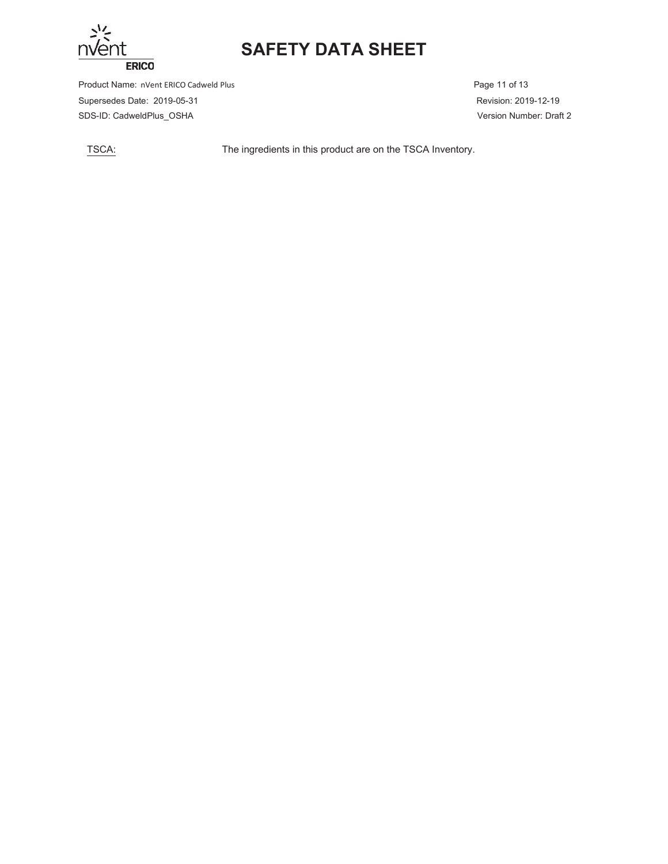

Product Name: nVent ERICO Cadweld Plus **Page 11 of 13** Page 11 of 13 Supersedes Date: 2019-05-31 Revision: 2019-12-19 SDS-ID: CadweldPlus\_OSHA Version Number: Draft 2

TSCA: The ingredients in this product are on the TSCA Inventory.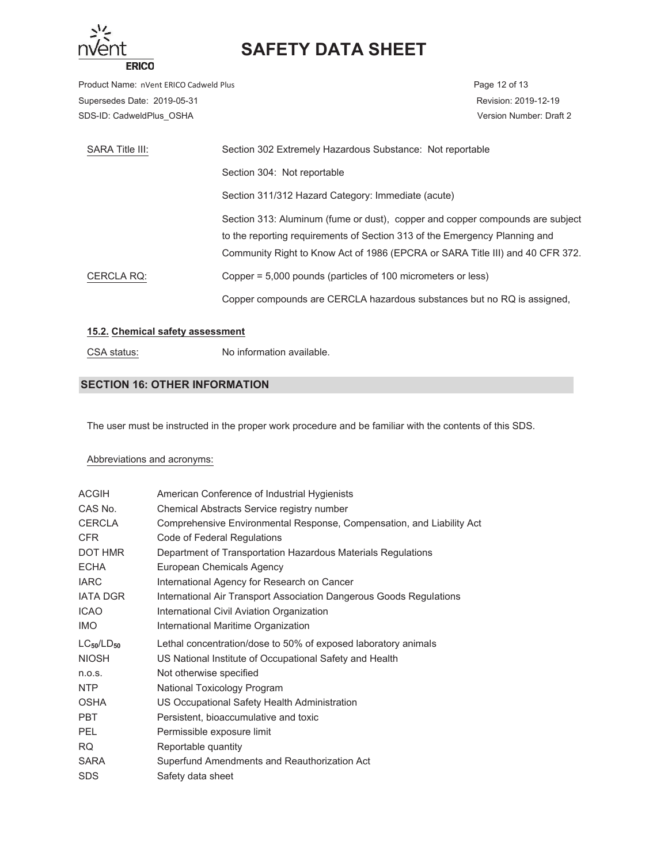

Product Name: nVent ERICO Cadweld Plus **Page 12 of 13** Page 12 of 13 Supersedes Date: 2019-05-31 Revision: 2019-12-19 SDS-ID: CadweldPlus\_OSHA Version Number: Draft 2

| SARA Title III: | Section 302 Extremely Hazardous Substance: Not reportable                     |
|-----------------|-------------------------------------------------------------------------------|
|                 | Section 304: Not reportable                                                   |
|                 | Section 311/312 Hazard Category: Immediate (acute)                            |
|                 | Section 313: Aluminum (fume or dust), copper and copper compounds are subject |
|                 | to the reporting requirements of Section 313 of the Emergency Planning and    |
|                 | Community Right to Know Act of 1986 (EPCRA or SARA Title III) and 40 CFR 372. |
| CERCLA RQ:      | Copper = 5,000 pounds (particles of 100 micrometers or less)                  |
|                 | Copper compounds are CERCLA hazardous substances but no RQ is assigned.       |

#### **15.2. Chemical safety assessment**

CSA status: No information available.

# **SECTION 16: OTHER INFORMATION**

The user must be instructed in the proper work procedure and be familiar with the contents of this SDS.

### Abbreviations and acronyms:

| <b>ACGIH</b>      | American Conference of Industrial Hygienists                          |
|-------------------|-----------------------------------------------------------------------|
| CAS No.           | Chemical Abstracts Service registry number                            |
| <b>CERCLA</b>     | Comprehensive Environmental Response, Compensation, and Liability Act |
| <b>CFR</b>        | Code of Federal Regulations                                           |
| DOT HMR           | Department of Transportation Hazardous Materials Regulations          |
| <b>ECHA</b>       | European Chemicals Agency                                             |
| <b>IARC</b>       | International Agency for Research on Cancer                           |
| <b>IATA DGR</b>   | International Air Transport Association Dangerous Goods Regulations   |
| <b>ICAO</b>       | International Civil Aviation Organization                             |
| IMO.              | International Maritime Organization                                   |
|                   |                                                                       |
| $LC_{50}/LD_{50}$ | Lethal concentration/dose to 50% of exposed laboratory animals        |
| <b>NIOSH</b>      | US National Institute of Occupational Safety and Health               |
| n.o.s.            | Not otherwise specified                                               |
| NTP               | National Toxicology Program                                           |
| <b>OSHA</b>       | US Occupational Safety Health Administration                          |
| <b>PBT</b>        | Persistent, bioaccumulative and toxic                                 |
| <b>PEL</b>        | Permissible exposure limit                                            |
| <b>RQ</b>         | Reportable quantity                                                   |
| <b>SARA</b>       | Superfund Amendments and Reauthorization Act                          |